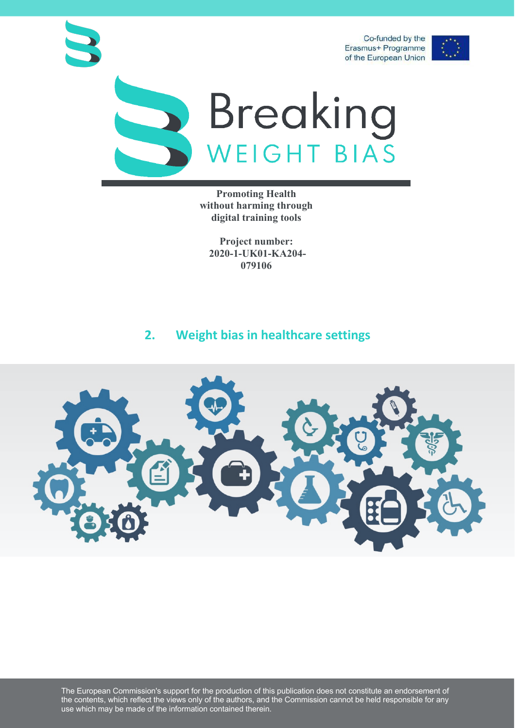Co-funded by the Erasmus+ Programme of the European Union



# Breaking<br>WEIGHT BIAS

**Promoting Health without harming through digital training tools**

**Project number: 2020-1-UK01-KA204- 079106**

#### **2. Weight bias in healthcare settings**



The European Commission's support for the production of this publication does not constitute an endorsement of the contents, which reflect the views only of the authors, and the Commission cannot be held responsible for any use which may be made of the information contained therein.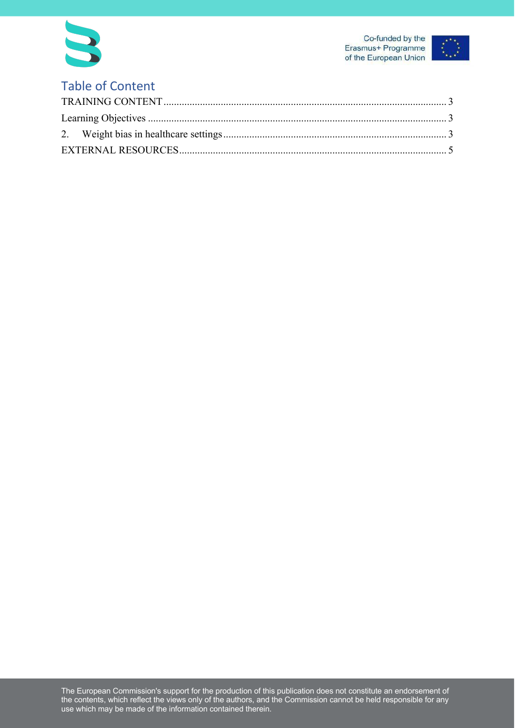



# Table of Content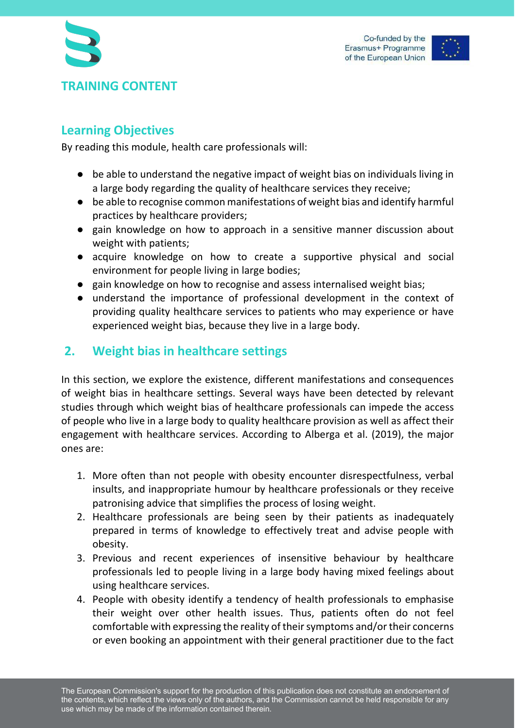



#### **Learning Objectives**

By reading this module, health care professionals will:

- be able to understand the negative impact of weight bias on individuals living in a large body regarding the quality of healthcare services they receive;
- be able to recognise common manifestations of weight bias and identify harmful practices by healthcare providers;
- gain knowledge on how to approach in a sensitive manner discussion about weight with patients;
- acquire knowledge on how to create a supportive physical and social environment for people living in large bodies;
- gain knowledge on how to recognise and assess internalised weight bias;
- understand the importance of professional development in the context of providing quality healthcare services to patients who may experience or have experienced weight bias, because they live in a large body.

### **2. Weight bias in healthcare settings**

In this section, we explore the existence, different manifestations and consequences of weight bias in healthcare settings. Several ways have been detected by relevant studies through which weight bias of healthcare professionals can impede the access of people who live in a large body to quality healthcare provision as well as affect their engagement with healthcare services. According to Alberga et al. (2019), the major ones are:

- 1. More often than not people with obesity encounter disrespectfulness, verbal insults, and inappropriate humour by healthcare professionals or they receive patronising advice that simplifies the process of losing weight.
- 2. Healthcare professionals are being seen by their patients as inadequately prepared in terms of knowledge to effectively treat and advise people with obesity.
- 3. Previous and recent experiences of insensitive behaviour by healthcare professionals led to people living in a large body having mixed feelings about using healthcare services.
- 4. People with obesity identify a tendency of health professionals to emphasise their weight over other health issues. Thus, patients often do not feel comfortable with expressing the reality of their symptoms and/or their concerns or even booking an appointment with their general practitioner due to the fact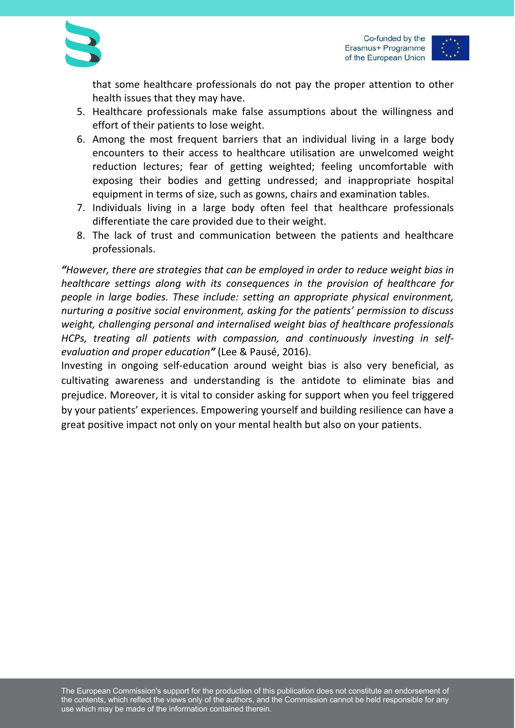

that some healthcare professionals do not pay the proper attention to other health issues that they may have.

- 5. Healthcare professionals make false assumptions about the willingness and effort of their patients to lose weight.
- 6. Among the most frequent barriers that an individual living in a large body encounters to their access to healthcare utilisation are unwelcomed weight reduction lectures; fear of getting weighted; feeling uncomfortable with exposing their bodies and getting undressed; and inappropriate hospital equipment in terms of size, such as gowns, chairs and examination tables.
- 7. Individuals living in a large body often feel that healthcare professionals differentiate the care provided due to their weight.
- 8. The lack of trust and communication between the patients and healthcare professionals.

*"However, there are strategies that can be employed in order to reduce weight bias in healthcare settings along with its consequences in the provision of healthcare for people in large bodies. These include: setting an appropriate physical environment, nurturing a positive social environment, asking for the patients' permission to discuss weight, challenging personal and internalised weight bias of healthcare professionals HCPs, treating all patients with compassion, and continuously investing in selfevaluation and proper education"* (Lee & Pausé, 2016).

Investing in ongoing self-education around weight bias is also very beneficial, as cultivating awareness and understanding is the antidote to eliminate bias and prejudice. Moreover, it is vital to consider asking for support when you feel triggered by your patients' experiences. Empowering yourself and building resilience can have a great positive impact not only on your mental health but also on your patients.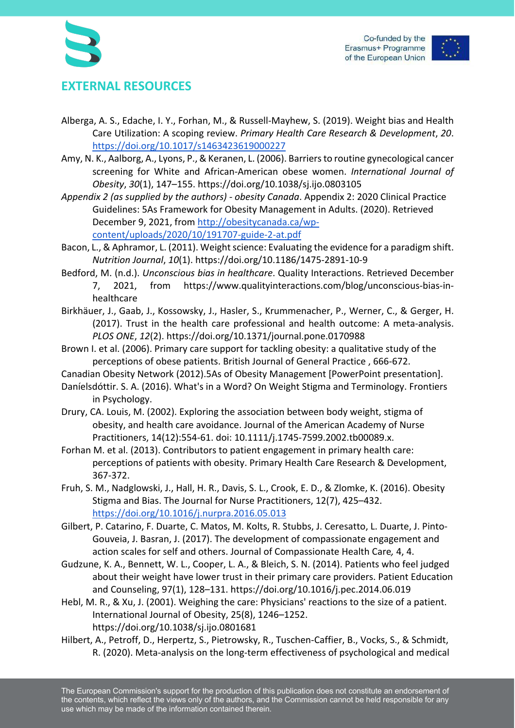



## **EXTERNAL RESOURCES**

- Alberga, A. S., Edache, I. Y., Forhan, M., & Russell-Mayhew, S. (2019). Weight bias and Health Care Utilization: A scoping review. *Primary Health Care Research & Development*, *20*. https://doi.org/10.1017/s1463423619000227
- Amy, N. K., Aalborg, A., Lyons, P., & Keranen, L. (2006). Barriers to routine gynecological cancer screening for White and African-American obese women. *International Journal of Obesity*, *30*(1), 147–155. https://doi.org/10.1038/sj.ijo.0803105
- *Appendix 2 (as supplied by the authors) - obesity Canada*. Appendix 2: 2020 Clinical Practice Guidelines: 5As Framework for Obesity Management in Adults. (2020). Retrieved December 9, 2021, from http://obesitycanada.ca/wpcontent/uploads/2020/10/191707-guide-2-at.pdf
- Bacon, L., & Aphramor, L. (2011). Weight science: Evaluating the evidence for a paradigm shift. *Nutrition Journal*, *10*(1). https://doi.org/10.1186/1475-2891-10-9
- Bedford, M. (n.d.). *Unconscious bias in healthcare*. Quality Interactions. Retrieved December 7, 2021, from https://www.qualityinteractions.com/blog/unconscious-bias-inhealthcare
- Birkhäuer, J., Gaab, J., Kossowsky, J., Hasler, S., Krummenacher, P., Werner, C., & Gerger, H. (2017). Trust in the health care professional and health outcome: A meta-analysis. *PLOS ONE*, *12*(2). https://doi.org/10.1371/journal.pone.0170988
- Brown I. et al. (2006). Primary care support for tackling obesity: a qualitative study of the perceptions of obese patients. British Journal of General Practice , 666-672.
- Canadian Obesity Network (2012).5As of Obesity Management [PowerPoint presentation].
- Daníelsdóttir. S. A. (2016). What's in a Word? On Weight Stigma and Terminology. Frontiers in Psychology.
- Drury, CA. Louis, M. (2002). Exploring the association between body weight, stigma of obesity, and health care avoidance. Journal of the American Academy of Nurse Practitioners, 14(12):554-61. doi: 10.1111/j.1745-7599.2002.tb00089.x.
- Forhan M. et al. (2013). Contributors to patient engagement in primary health care: perceptions of patients with obesity. Primary Health Care Research & Development, 367-372.
- Fruh, S. M., Nadglowski, J., Hall, H. R., Davis, S. L., Crook, E. D., & Zlomke, K. (2016). Obesity Stigma and Bias. The Journal for Nurse Practitioners, 12(7), 425–432. https://doi.org/10.1016/j.nurpra.2016.05.013
- Gilbert, P. Catarino, F. Duarte, C. Matos, M. Kolts, R. Stubbs, J. Ceresatto, L. Duarte, J. Pinto-Gouveia, J. Basran, J. (2017). The development of compassionate engagement and action scales for self and others. Journal of Compassionate Health Care*,* 4, 4.
- Gudzune, K. A., Bennett, W. L., Cooper, L. A., & Bleich, S. N. (2014). Patients who feel judged about their weight have lower trust in their primary care providers. Patient Education and Counseling, 97(1), 128–131. https://doi.org/10.1016/j.pec.2014.06.019
- Hebl, M. R., & Xu, J. (2001). Weighing the care: Physicians' reactions to the size of a patient. International Journal of Obesity, 25(8), 1246–1252. https://doi.org/10.1038/sj.ijo.0801681
- Hilbert, A., Petroff, D., Herpertz, S., Pietrowsky, R., Tuschen-Caffier, B., Vocks, S., & Schmidt, R. (2020). Meta-analysis on the long-term effectiveness of psychological and medical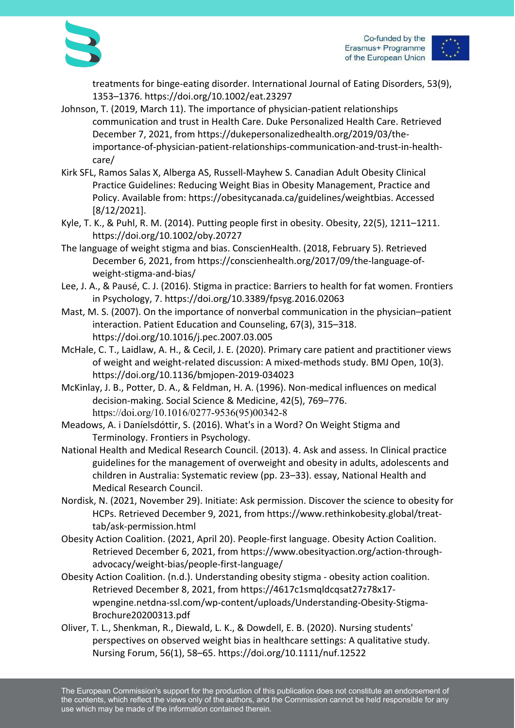

Co-funded by the Erasmus+ Programme of the European Union

treatments for binge-eating disorder. International Journal of Eating Disorders, 53(9), 1353–1376. https://doi.org/10.1002/eat.23297

- Johnson, T. (2019, March 11). The importance of physician-patient relationships communication and trust in Health Care. Duke Personalized Health Care. Retrieved December 7, 2021, from https://dukepersonalizedhealth.org/2019/03/theimportance-of-physician-patient-relationships-communication-and-trust-in-healthcare/
- Kirk SFL, Ramos Salas X, Alberga AS, Russell-Mayhew S. Canadian Adult Obesity Clinical Practice Guidelines: Reducing Weight Bias in Obesity Management, Practice and Policy. Available from: https://obesitycanada.ca/guidelines/weightbias. Accessed [8/12/2021].
- Kyle, T. K., & Puhl, R. M. (2014). Putting people first in obesity. Obesity, 22(5), 1211–1211. https://doi.org/10.1002/oby.20727
- The language of weight stigma and bias. ConscienHealth. (2018, February 5). Retrieved December 6, 2021, from https://conscienhealth.org/2017/09/the-language-ofweight-stigma-and-bias/
- Lee, J. A., & Pausé, C. J. (2016). Stigma in practice: Barriers to health for fat women. Frontiers in Psychology, 7. https://doi.org/10.3389/fpsyg.2016.02063
- Mast, M. S. (2007). On the importance of nonverbal communication in the physician–patient interaction. Patient Education and Counseling, 67(3), 315–318. https://doi.org/10.1016/j.pec.2007.03.005
- McHale, C. T., Laidlaw, A. H., & Cecil, J. E. (2020). Primary care patient and practitioner views of weight and weight-related discussion: A mixed-methods study. BMJ Open, 10(3). https://doi.org/10.1136/bmjopen-2019-034023
- McKinlay, J. B., Potter, D. A., & Feldman, H. A. (1996). Non-medical influences on medical decision-making. Social Science & Medicine, 42(5), 769–776. https://doi.org/10.1016/0277-9536(95)00342-8
- Meadows, A. i Daníelsdóttir, S. (2016). What's in a Word? On Weight Stigma and Terminology. Frontiers in Psychology.
- National Health and Medical Research Council. (2013). 4. Ask and assess. In Clinical practice guidelines for the management of overweight and obesity in adults, adolescents and children in Australia: Systematic review (pp. 23–33). essay, National Health and Medical Research Council.
- Nordisk, N. (2021, November 29). Initiate: Ask permission. Discover the science to obesity for HCPs. Retrieved December 9, 2021, from https://www.rethinkobesity.global/treattab/ask-permission.html
- Obesity Action Coalition. (2021, April 20). People-first language. Obesity Action Coalition. Retrieved December 6, 2021, from https://www.obesityaction.org/action-throughadvocacy/weight-bias/people-first-language/
- Obesity Action Coalition. (n.d.). Understanding obesity stigma obesity action coalition. Retrieved December 8, 2021, from https://4617c1smqldcqsat27z78x17 wpengine.netdna-ssl.com/wp-content/uploads/Understanding-Obesity-Stigma-Brochure20200313.pdf
- Oliver, T. L., Shenkman, R., Diewald, L. K., & Dowdell, E. B. (2020). Nursing students' perspectives on observed weight bias in healthcare settings: A qualitative study. Nursing Forum, 56(1), 58–65. https://doi.org/10.1111/nuf.12522